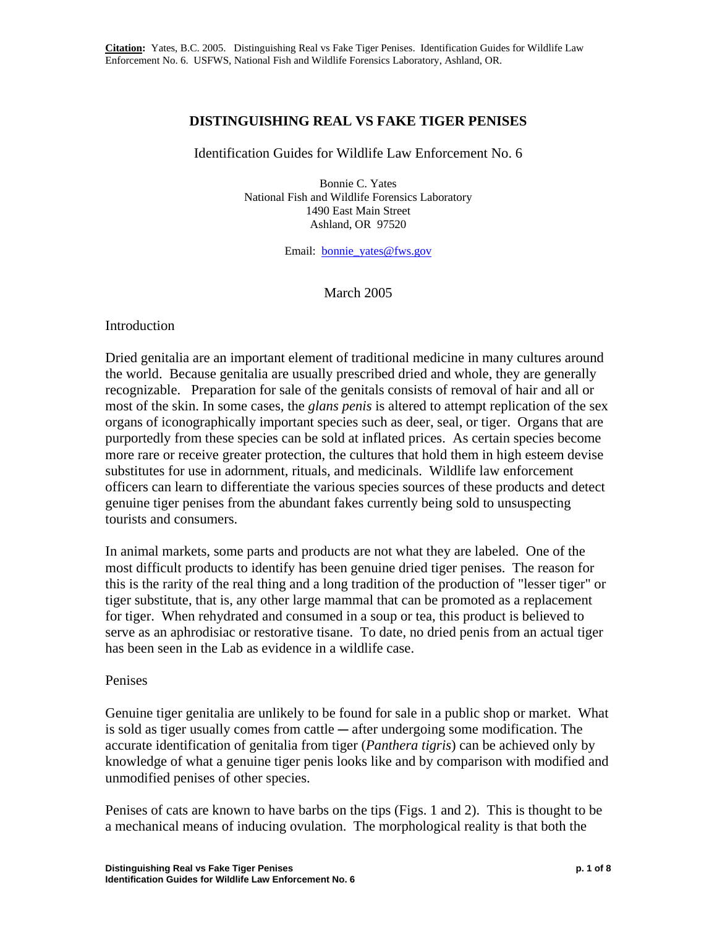# **DISTINGUISHING REAL VS FAKE TIGER PENISES**

## Identification Guides for Wildlife Law Enforcement No. 6

Bonnie C. Yates National Fish and Wildlife Forensics Laboratory 1490 East Main Street Ashland, OR 97520

Email: bonnie\_yates@fws.gov

## March 2005

### Introduction

Dried genitalia are an important element of traditional medicine in many cultures around the world. Because genitalia are usually prescribed dried and whole, they are generally recognizable. Preparation for sale of the genitals consists of removal of hair and all or most of the skin. In some cases, the *glans penis* is altered to attempt replication of the sex organs of iconographically important species such as deer, seal, or tiger. Organs that are purportedly from these species can be sold at inflated prices. As certain species become more rare or receive greater protection, the cultures that hold them in high esteem devise substitutes for use in adornment, rituals, and medicinals. Wildlife law enforcement officers can learn to differentiate the various species sources of these products and detect genuine tiger penises from the abundant fakes currently being sold to unsuspecting tourists and consumers.

In animal markets, some parts and products are not what they are labeled. One of the most difficult products to identify has been genuine dried tiger penises. The reason for this is the rarity of the real thing and a long tradition of the production of "lesser tiger" or tiger substitute, that is, any other large mammal that can be promoted as a replacement for tiger. When rehydrated and consumed in a soup or tea, this product is believed to serve as an aphrodisiac or restorative tisane. To date, no dried penis from an actual tiger has been seen in the Lab as evidence in a wildlife case.

#### Penises

Genuine tiger genitalia are unlikely to be found for sale in a public shop or market. What is sold as tiger usually comes from cattle  $-$  after undergoing some modification. The accurate identification of genitalia from tiger (*Panthera tigris*) can be achieved only by knowledge of what a genuine tiger penis looks like and by comparison with modified and unmodified penises of other species.

Penises of cats are known to have barbs on the tips (Figs. 1 and 2). This is thought to be a mechanical means of inducing ovulation. The morphological reality is that both the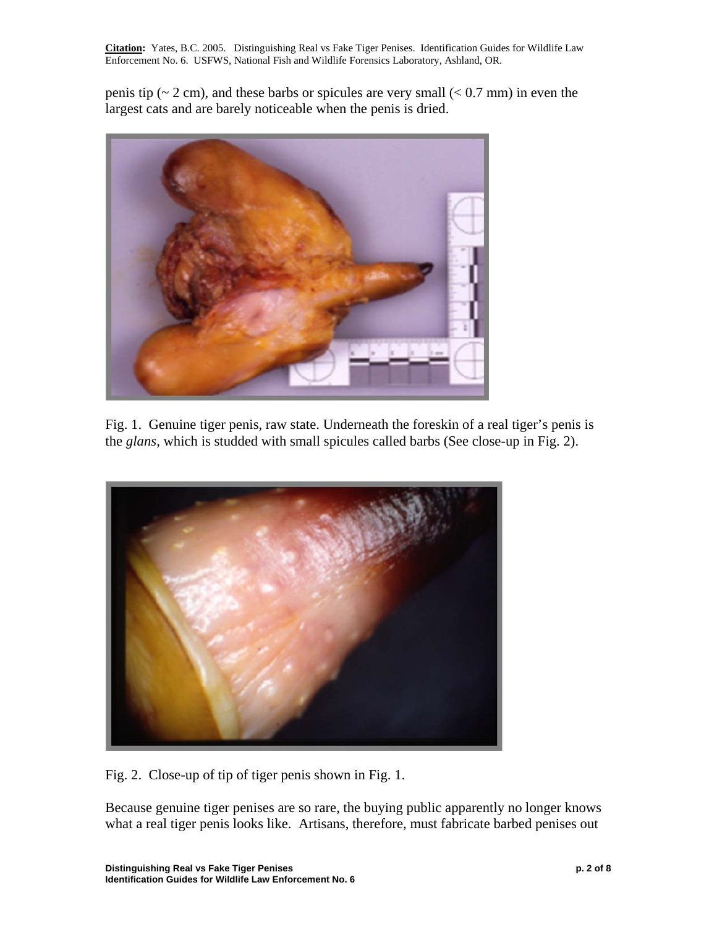penis tip ( $\sim$  2 cm), and these barbs or spicules are very small ( $\lt$  0.7 mm) in even the largest cats and are barely noticeable when the penis is dried.



Fig. 1. Genuine tiger penis, raw state. Underneath the foreskin of a real tiger's penis is the *glans*, which is studded with small spicules called barbs (See close-up in Fig. 2).



Fig. 2. Close-up of tip of tiger penis shown in Fig. 1.

Because genuine tiger penises are so rare, the buying public apparently no longer knows what a real tiger penis looks like. Artisans, therefore, must fabricate barbed penises out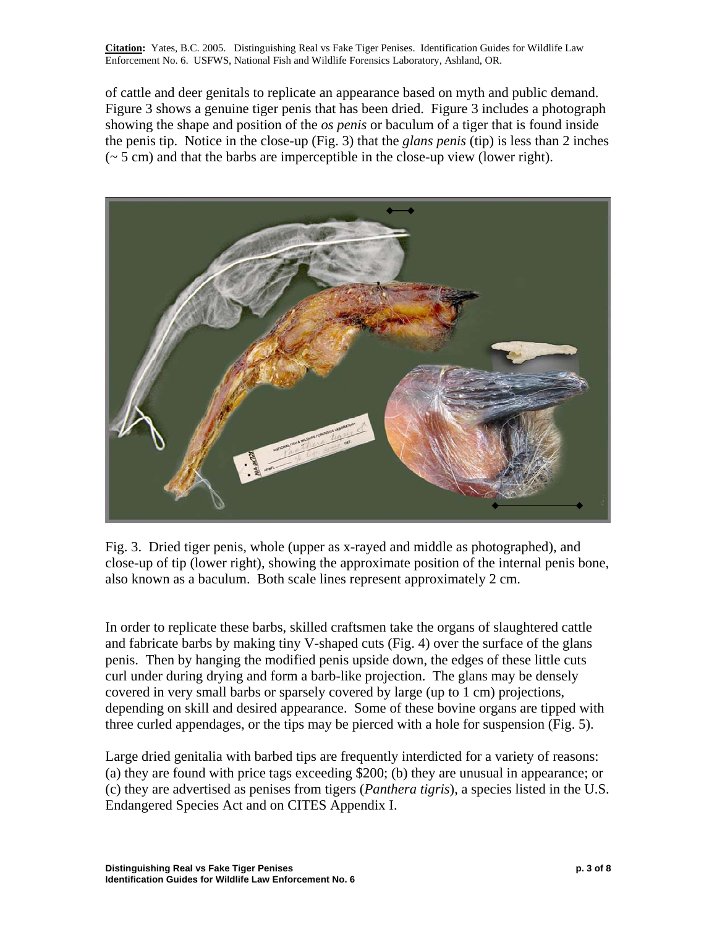of cattle and deer genitals to replicate an appearance based on myth and public demand. Figure 3 shows a genuine tiger penis that has been dried. Figure 3 includes a photograph showing the shape and position of the *os penis* or baculum of a tiger that is found inside the penis tip. Notice in the close-up (Fig. 3) that the *glans penis* (tip) is less than 2 inches  $({\sim} 5$  cm) and that the barbs are imperceptible in the close-up view (lower right).



Fig. 3. Dried tiger penis, whole (upper as x-rayed and middle as photographed), and close-up of tip (lower right), showing the approximate position of the internal penis bone, also known as a baculum. Both scale lines represent approximately 2 cm.

In order to replicate these barbs, skilled craftsmen take the organs of slaughtered cattle and fabricate barbs by making tiny V-shaped cuts (Fig. 4) over the surface of the glans penis. Then by hanging the modified penis upside down, the edges of these little cuts curl under during drying and form a barb-like projection. The glans may be densely covered in very small barbs or sparsely covered by large (up to 1 cm) projections, depending on skill and desired appearance. Some of these bovine organs are tipped with three curled appendages, or the tips may be pierced with a hole for suspension (Fig. 5).

Large dried genitalia with barbed tips are frequently interdicted for a variety of reasons: (a) they are found with price tags exceeding \$200; (b) they are unusual in appearance; or (c) they are advertised as penises from tigers (*Panthera tigris*), a species listed in the U.S. Endangered Species Act and on CITES Appendix I.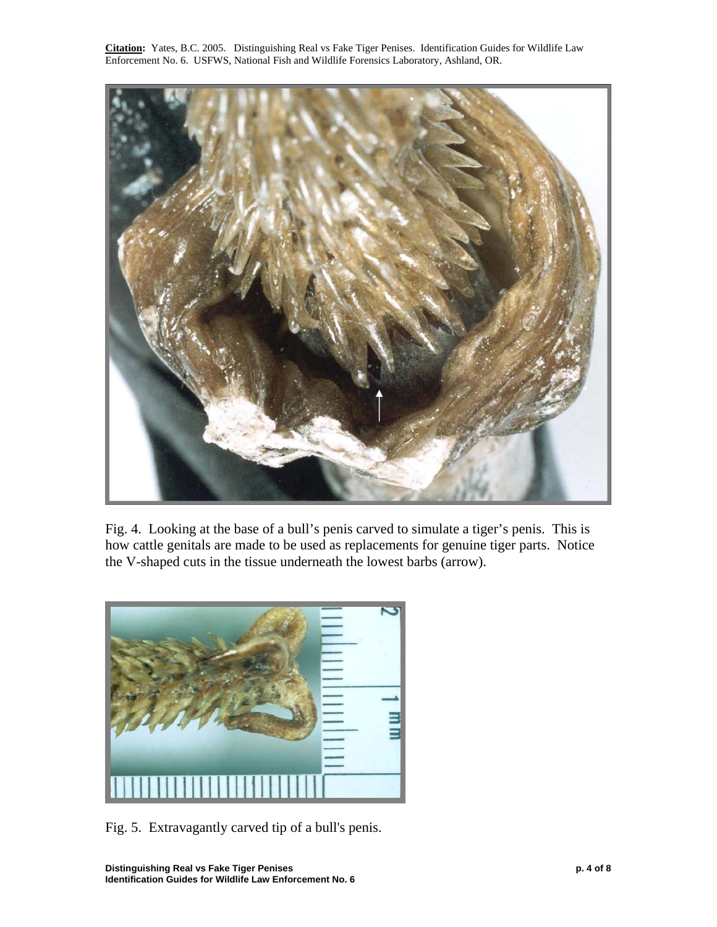

Fig. 4. Looking at the base of a bull's penis carved to simulate a tiger's penis. This is how cattle genitals are made to be used as replacements for genuine tiger parts. Notice the V-shaped cuts in the tissue underneath the lowest barbs (arrow).



Fig. 5. Extravagantly carved tip of a bull's penis.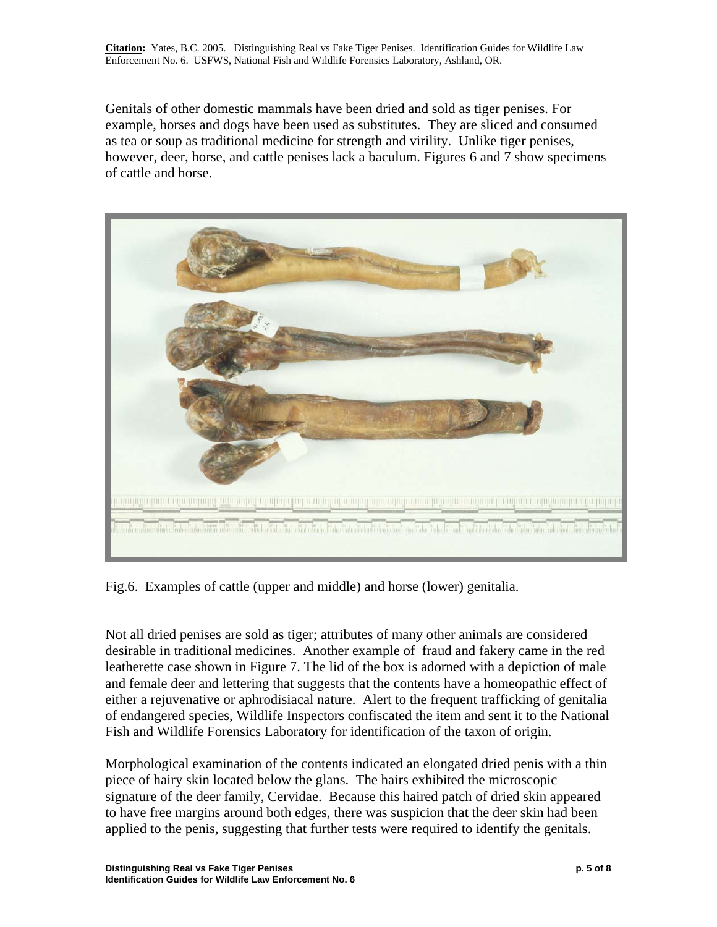Genitals of other domestic mammals have been dried and sold as tiger penises. For example, horses and dogs have been used as substitutes. They are sliced and consumed as tea or soup as traditional medicine for strength and virility. Unlike tiger penises, however, deer, horse, and cattle penises lack a baculum. Figures 6 and 7 show specimens of cattle and horse.



Fig.6. Examples of cattle (upper and middle) and horse (lower) genitalia.

Not all dried penises are sold as tiger; attributes of many other animals are considered desirable in traditional medicines. Another example of fraud and fakery came in the red leatherette case shown in Figure 7. The lid of the box is adorned with a depiction of male and female deer and lettering that suggests that the contents have a homeopathic effect of either a rejuvenative or aphrodisiacal nature. Alert to the frequent trafficking of genitalia of endangered species, Wildlife Inspectors confiscated the item and sent it to the National Fish and Wildlife Forensics Laboratory for identification of the taxon of origin.

Morphological examination of the contents indicated an elongated dried penis with a thin piece of hairy skin located below the glans. The hairs exhibited the microscopic signature of the deer family, Cervidae. Because this haired patch of dried skin appeared to have free margins around both edges, there was suspicion that the deer skin had been applied to the penis, suggesting that further tests were required to identify the genitals.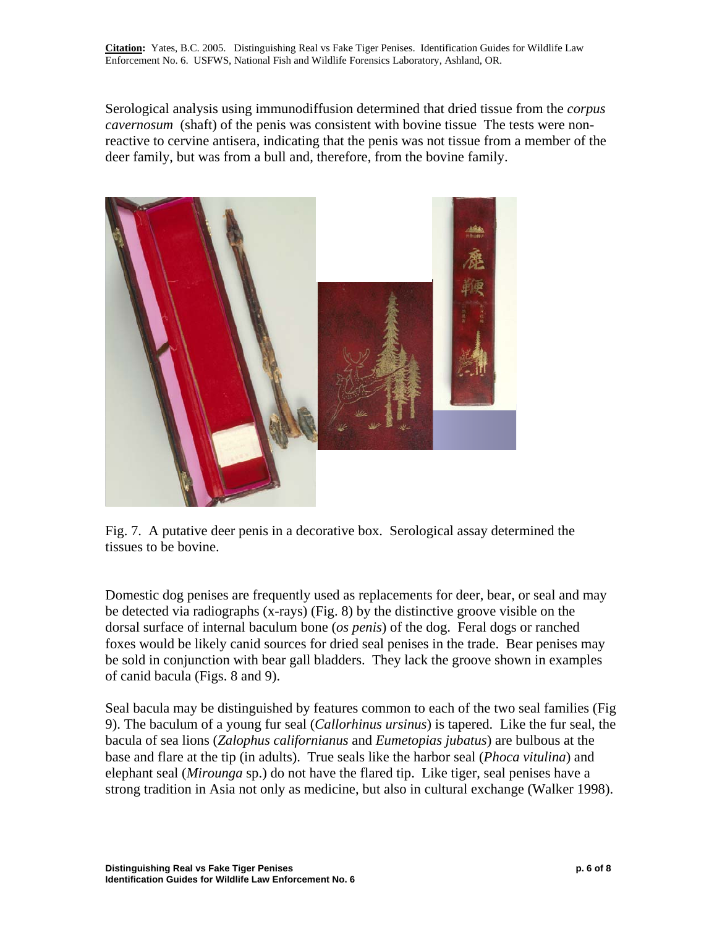Serological analysis using immunodiffusion determined that dried tissue from the *corpus cavernosum* (shaft) of the penis was consistent with bovine tissue The tests were nonreactive to cervine antisera, indicating that the penis was not tissue from a member of the deer family, but was from a bull and, therefore, from the bovine family.



Fig. 7. A putative deer penis in a decorative box. Serological assay determined the tissues to be bovine.

Domestic dog penises are frequently used as replacements for deer, bear, or seal and may be detected via radiographs (x-rays) (Fig. 8) by the distinctive groove visible on the dorsal surface of internal baculum bone (*os penis*) of the dog. Feral dogs or ranched foxes would be likely canid sources for dried seal penises in the trade. Bear penises may be sold in conjunction with bear gall bladders. They lack the groove shown in examples of canid bacula (Figs. 8 and 9).

Seal bacula may be distinguished by features common to each of the two seal families (Fig 9). The baculum of a young fur seal (*Callorhinus ursinus*) is tapered. Like the fur seal, the bacula of sea lions (*Zalophus californianus* and *Eumetopias jubatus*) are bulbous at the base and flare at the tip (in adults). True seals like the harbor seal (*Phoca vitulina*) and elephant seal (*Mirounga* sp.) do not have the flared tip. Like tiger, seal penises have a strong tradition in Asia not only as medicine, but also in cultural exchange (Walker 1998).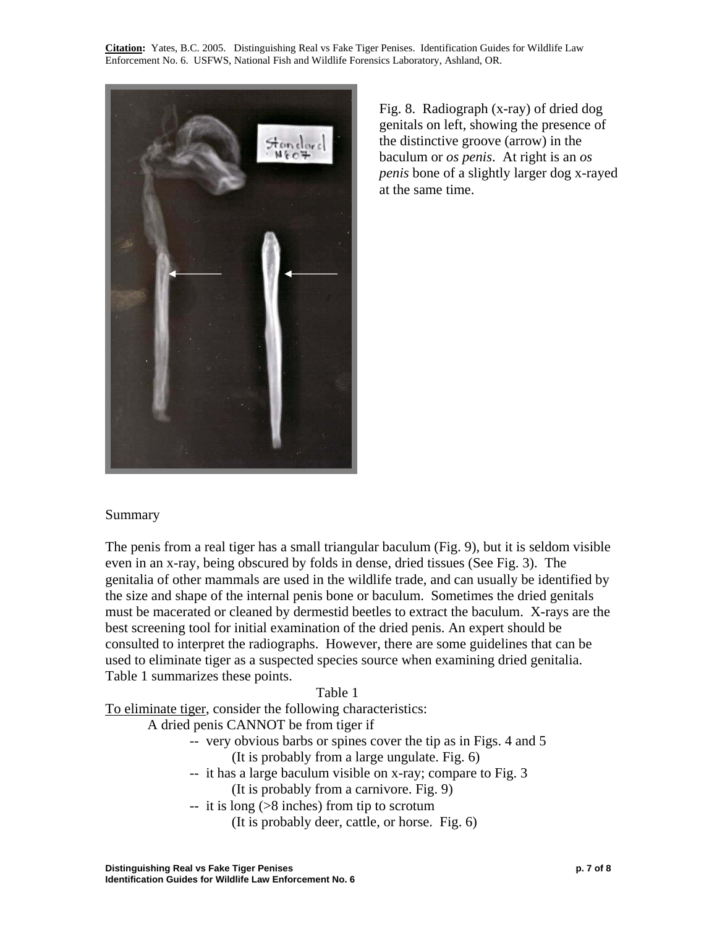

Fig. 8. Radiograph (x-ray) of dried dog genitals on left, showing the presence of the distinctive groove (arrow) in the baculum or *os penis*. At right is an *os penis* bone of a slightly larger dog x-rayed at the same time.

# Summary

The penis from a real tiger has a small triangular baculum (Fig. 9), but it is seldom visible even in an x-ray, being obscured by folds in dense, dried tissues (See Fig. 3). The genitalia of other mammals are used in the wildlife trade, and can usually be identified by the size and shape of the internal penis bone or baculum. Sometimes the dried genitals must be macerated or cleaned by dermestid beetles to extract the baculum. X-rays are the best screening tool for initial examination of the dried penis. An expert should be consulted to interpret the radiographs. However, there are some guidelines that can be used to eliminate tiger as a suspected species source when examining dried genitalia. Table 1 summarizes these points.

#### Table 1

To eliminate tiger, consider the following characteristics:

A dried penis CANNOT be from tiger if

- -- very obvious barbs or spines cover the tip as in Figs. 4 and 5 (It is probably from a large ungulate. Fig. 6)
- -- it has a large baculum visible on x-ray; compare to Fig. 3

(It is probably from a carnivore. Fig. 9)

- $-$  it is long ( $>8$  inches) from tip to scrotum
	- (It is probably deer, cattle, or horse. Fig. 6)